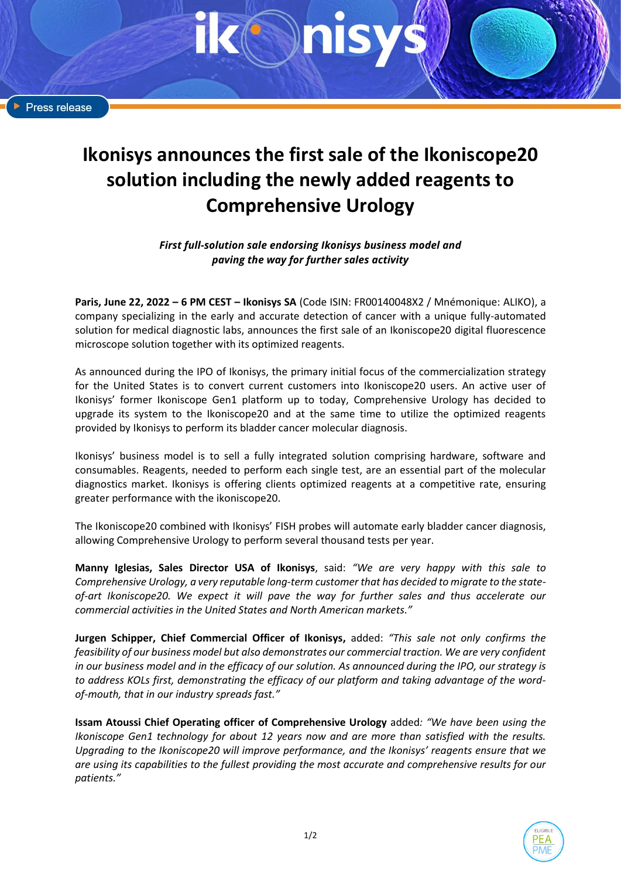# **Ikonisys announces the first sale of the Ikoniscope20 solution including the newly added reagents to Comprehensive Urology**

*First full-solution sale endorsing Ikonisys business model and paving the way for further sales activity*

**Paris, June 22, 2022 – 6 PM CEST – Ikonisys SA** (Code ISIN: FR00140048X2 / Mnémonique: ALIKO), a company specializing in the early and accurate detection of cancer with a unique fully-automated solution for medical diagnostic labs, announces the first sale of an Ikoniscope20 digital fluorescence microscope solution together with its optimized reagents.

As announced during the IPO of Ikonisys, the primary initial focus of the commercialization strategy for the United States is to convert current customers into Ikoniscope20 users. An active user of Ikonisys' former Ikoniscope Gen1 platform up to today, Comprehensive Urology has decided to upgrade its system to the Ikoniscope20 and at the same time to utilize the optimized reagents provided by Ikonisys to perform its bladder cancer molecular diagnosis.

Ikonisys' business model is to sell a fully integrated solution comprising hardware, software and consumables. Reagents, needed to perform each single test, are an essential part of the molecular diagnostics market. Ikonisys is offering clients optimized reagents at a competitive rate, ensuring greater performance with the ikoniscope20.

The Ikoniscope20 combined with Ikonisys' FISH probes will automate early bladder cancer diagnosis, allowing Comprehensive Urology to perform several thousand tests per year.

**Manny Iglesias, Sales Director USA of Ikonisys**, said: *"We are very happy with this sale to Comprehensive Urology, a very reputable long-term customer that has decided to migrate to the stateof-art Ikoniscope20. We expect it will pave the way for further sales and thus accelerate our commercial activities in the United States and North American markets."*

**Jurgen Schipper, Chief Commercial Officer of Ikonisys,** added: *"This sale not only confirms the feasibility of our business model but also demonstrates our commercial traction. We are very confident in our business model and in the efficacy of our solution. As announced during the IPO, our strategy is to address KOLs first, demonstrating the efficacy of our platform and taking advantage of the wordof-mouth, that in our industry spreads fast."*

**Issam Atoussi Chief Operating officer of Comprehensive Urology** added*: "We have been using the Ikoniscope Gen1 technology for about 12 years now and are more than satisfied with the results. Upgrading to the Ikoniscope20 will improve performance, and the Ikonisys' reagents ensure that we are using its capabilities to the fullest providing the most accurate and comprehensive results for our patients."*